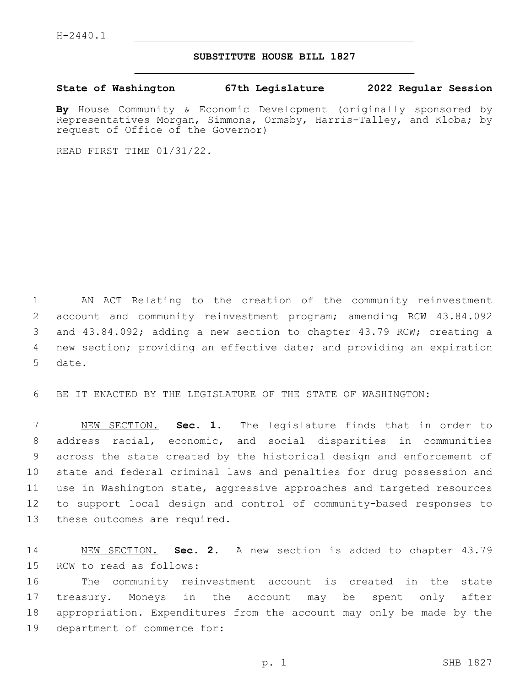## **SUBSTITUTE HOUSE BILL 1827**

**State of Washington 67th Legislature 2022 Regular Session**

**By** House Community & Economic Development (originally sponsored by Representatives Morgan, Simmons, Ormsby, Harris-Talley, and Kloba; by request of Office of the Governor)

READ FIRST TIME 01/31/22.

 AN ACT Relating to the creation of the community reinvestment account and community reinvestment program; amending RCW 43.84.092 and 43.84.092; adding a new section to chapter 43.79 RCW; creating a new section; providing an effective date; and providing an expiration 5 date.

6 BE IT ENACTED BY THE LEGISLATURE OF THE STATE OF WASHINGTON:

 NEW SECTION. **Sec. 1.** The legislature finds that in order to address racial, economic, and social disparities in communities across the state created by the historical design and enforcement of state and federal criminal laws and penalties for drug possession and use in Washington state, aggressive approaches and targeted resources to support local design and control of community-based responses to these outcomes are required.

14 NEW SECTION. **Sec. 2.** A new section is added to chapter 43.79 15 RCW to read as follows:

 The community reinvestment account is created in the state treasury. Moneys in the account may be spent only after appropriation. Expenditures from the account may only be made by the 19 department of commerce for: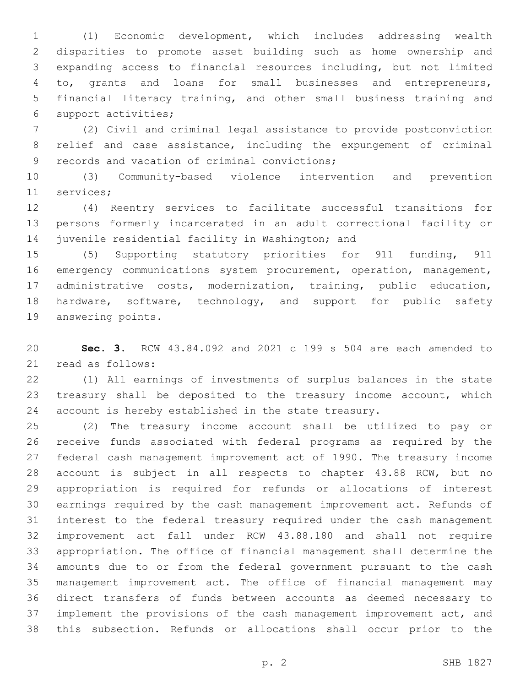(1) Economic development, which includes addressing wealth disparities to promote asset building such as home ownership and expanding access to financial resources including, but not limited to, grants and loans for small businesses and entrepreneurs, financial literacy training, and other small business training and 6 support activities;

 (2) Civil and criminal legal assistance to provide postconviction relief and case assistance, including the expungement of criminal 9 records and vacation of criminal convictions;

 (3) Community-based violence intervention and prevention 11 services;

 (4) Reentry services to facilitate successful transitions for persons formerly incarcerated in an adult correctional facility or 14 juvenile residential facility in Washington; and

 (5) Supporting statutory priorities for 911 funding, 911 emergency communications system procurement, operation, management, administrative costs, modernization, training, public education, hardware, software, technology, and support for public safety 19 answering points.

 **Sec. 3.** RCW 43.84.092 and 2021 c 199 s 504 are each amended to 21 read as follows:

 (1) All earnings of investments of surplus balances in the state treasury shall be deposited to the treasury income account, which account is hereby established in the state treasury.

 (2) The treasury income account shall be utilized to pay or receive funds associated with federal programs as required by the federal cash management improvement act of 1990. The treasury income account is subject in all respects to chapter 43.88 RCW, but no appropriation is required for refunds or allocations of interest earnings required by the cash management improvement act. Refunds of interest to the federal treasury required under the cash management improvement act fall under RCW 43.88.180 and shall not require appropriation. The office of financial management shall determine the amounts due to or from the federal government pursuant to the cash management improvement act. The office of financial management may direct transfers of funds between accounts as deemed necessary to implement the provisions of the cash management improvement act, and this subsection. Refunds or allocations shall occur prior to the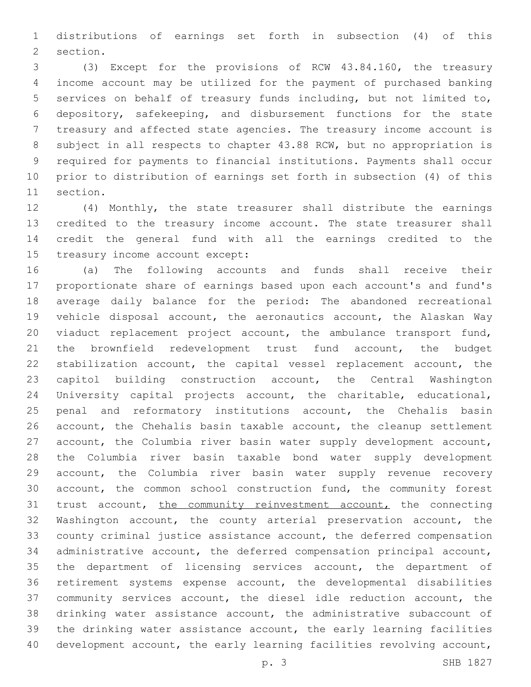distributions of earnings set forth in subsection (4) of this 2 section.

 (3) Except for the provisions of RCW 43.84.160, the treasury income account may be utilized for the payment of purchased banking services on behalf of treasury funds including, but not limited to, depository, safekeeping, and disbursement functions for the state treasury and affected state agencies. The treasury income account is subject in all respects to chapter 43.88 RCW, but no appropriation is required for payments to financial institutions. Payments shall occur prior to distribution of earnings set forth in subsection (4) of this 11 section.

 (4) Monthly, the state treasurer shall distribute the earnings credited to the treasury income account. The state treasurer shall credit the general fund with all the earnings credited to the 15 treasury income account except:

 (a) The following accounts and funds shall receive their proportionate share of earnings based upon each account's and fund's average daily balance for the period: The abandoned recreational vehicle disposal account, the aeronautics account, the Alaskan Way viaduct replacement project account, the ambulance transport fund, the brownfield redevelopment trust fund account, the budget stabilization account, the capital vessel replacement account, the capitol building construction account, the Central Washington University capital projects account, the charitable, educational, 25 penal and reformatory institutions account, the Chehalis basin account, the Chehalis basin taxable account, the cleanup settlement account, the Columbia river basin water supply development account, the Columbia river basin taxable bond water supply development account, the Columbia river basin water supply revenue recovery account, the common school construction fund, the community forest 31 trust account, the community reinvestment account, the connecting Washington account, the county arterial preservation account, the county criminal justice assistance account, the deferred compensation administrative account, the deferred compensation principal account, the department of licensing services account, the department of retirement systems expense account, the developmental disabilities community services account, the diesel idle reduction account, the drinking water assistance account, the administrative subaccount of the drinking water assistance account, the early learning facilities development account, the early learning facilities revolving account,

p. 3 SHB 1827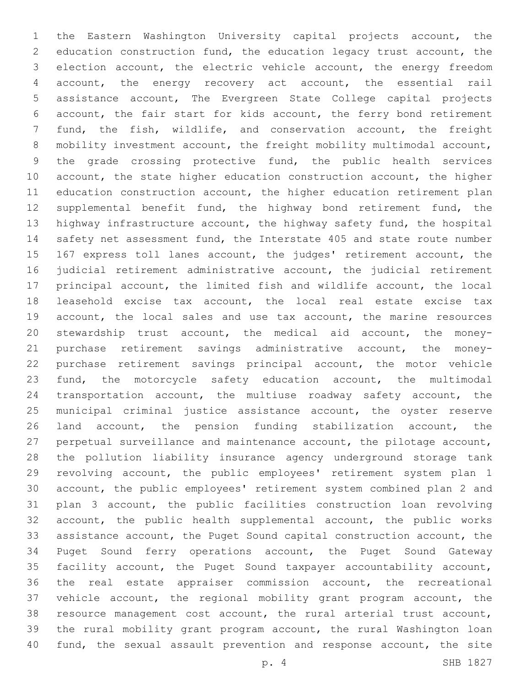the Eastern Washington University capital projects account, the education construction fund, the education legacy trust account, the election account, the electric vehicle account, the energy freedom account, the energy recovery act account, the essential rail assistance account, The Evergreen State College capital projects account, the fair start for kids account, the ferry bond retirement fund, the fish, wildlife, and conservation account, the freight mobility investment account, the freight mobility multimodal account, the grade crossing protective fund, the public health services 10 account, the state higher education construction account, the higher 11 education construction account, the higher education retirement plan 12 supplemental benefit fund, the highway bond retirement fund, the highway infrastructure account, the highway safety fund, the hospital 14 safety net assessment fund, the Interstate 405 and state route number 167 express toll lanes account, the judges' retirement account, the judicial retirement administrative account, the judicial retirement principal account, the limited fish and wildlife account, the local leasehold excise tax account, the local real estate excise tax account, the local sales and use tax account, the marine resources stewardship trust account, the medical aid account, the money- purchase retirement savings administrative account, the money- purchase retirement savings principal account, the motor vehicle fund, the motorcycle safety education account, the multimodal transportation account, the multiuse roadway safety account, the municipal criminal justice assistance account, the oyster reserve land account, the pension funding stabilization account, the perpetual surveillance and maintenance account, the pilotage account, the pollution liability insurance agency underground storage tank revolving account, the public employees' retirement system plan 1 account, the public employees' retirement system combined plan 2 and plan 3 account, the public facilities construction loan revolving account, the public health supplemental account, the public works assistance account, the Puget Sound capital construction account, the Puget Sound ferry operations account, the Puget Sound Gateway facility account, the Puget Sound taxpayer accountability account, the real estate appraiser commission account, the recreational vehicle account, the regional mobility grant program account, the resource management cost account, the rural arterial trust account, the rural mobility grant program account, the rural Washington loan fund, the sexual assault prevention and response account, the site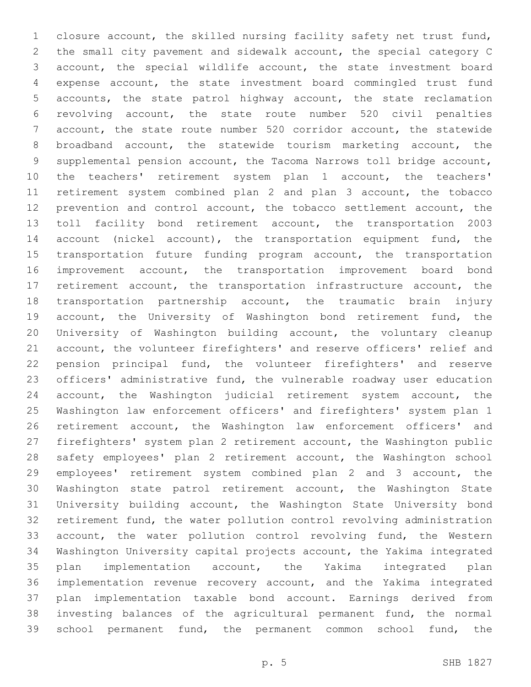closure account, the skilled nursing facility safety net trust fund, the small city pavement and sidewalk account, the special category C account, the special wildlife account, the state investment board expense account, the state investment board commingled trust fund accounts, the state patrol highway account, the state reclamation revolving account, the state route number 520 civil penalties account, the state route number 520 corridor account, the statewide broadband account, the statewide tourism marketing account, the supplemental pension account, the Tacoma Narrows toll bridge account, the teachers' retirement system plan 1 account, the teachers' retirement system combined plan 2 and plan 3 account, the tobacco prevention and control account, the tobacco settlement account, the toll facility bond retirement account, the transportation 2003 14 account (nickel account), the transportation equipment fund, the 15 transportation future funding program account, the transportation improvement account, the transportation improvement board bond retirement account, the transportation infrastructure account, the transportation partnership account, the traumatic brain injury 19 account, the University of Washington bond retirement fund, the University of Washington building account, the voluntary cleanup account, the volunteer firefighters' and reserve officers' relief and pension principal fund, the volunteer firefighters' and reserve officers' administrative fund, the vulnerable roadway user education account, the Washington judicial retirement system account, the Washington law enforcement officers' and firefighters' system plan 1 retirement account, the Washington law enforcement officers' and firefighters' system plan 2 retirement account, the Washington public safety employees' plan 2 retirement account, the Washington school employees' retirement system combined plan 2 and 3 account, the Washington state patrol retirement account, the Washington State University building account, the Washington State University bond retirement fund, the water pollution control revolving administration account, the water pollution control revolving fund, the Western Washington University capital projects account, the Yakima integrated plan implementation account, the Yakima integrated plan implementation revenue recovery account, and the Yakima integrated plan implementation taxable bond account. Earnings derived from investing balances of the agricultural permanent fund, the normal school permanent fund, the permanent common school fund, the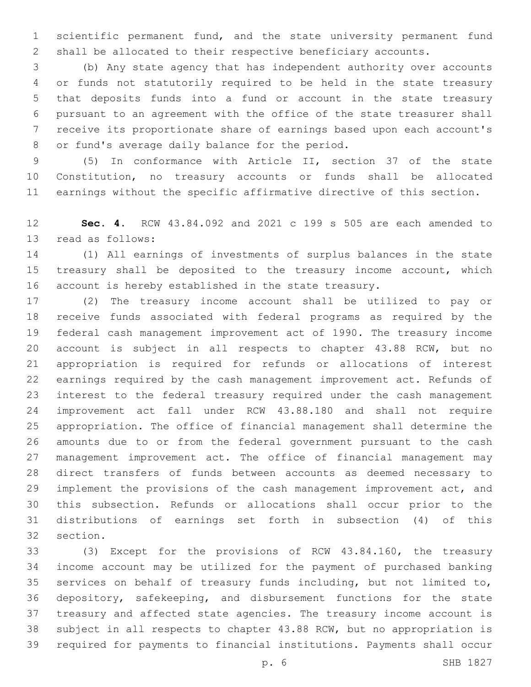scientific permanent fund, and the state university permanent fund shall be allocated to their respective beneficiary accounts.

 (b) Any state agency that has independent authority over accounts or funds not statutorily required to be held in the state treasury that deposits funds into a fund or account in the state treasury pursuant to an agreement with the office of the state treasurer shall receive its proportionate share of earnings based upon each account's 8 or fund's average daily balance for the period.

 (5) In conformance with Article II, section 37 of the state Constitution, no treasury accounts or funds shall be allocated earnings without the specific affirmative directive of this section.

 **Sec. 4.** RCW 43.84.092 and 2021 c 199 s 505 are each amended to 13 read as follows:

 (1) All earnings of investments of surplus balances in the state 15 treasury shall be deposited to the treasury income account, which account is hereby established in the state treasury.

 (2) The treasury income account shall be utilized to pay or receive funds associated with federal programs as required by the federal cash management improvement act of 1990. The treasury income account is subject in all respects to chapter 43.88 RCW, but no appropriation is required for refunds or allocations of interest earnings required by the cash management improvement act. Refunds of interest to the federal treasury required under the cash management improvement act fall under RCW 43.88.180 and shall not require appropriation. The office of financial management shall determine the amounts due to or from the federal government pursuant to the cash management improvement act. The office of financial management may direct transfers of funds between accounts as deemed necessary to implement the provisions of the cash management improvement act, and this subsection. Refunds or allocations shall occur prior to the distributions of earnings set forth in subsection (4) of this 32 section.

 (3) Except for the provisions of RCW 43.84.160, the treasury income account may be utilized for the payment of purchased banking services on behalf of treasury funds including, but not limited to, depository, safekeeping, and disbursement functions for the state treasury and affected state agencies. The treasury income account is subject in all respects to chapter 43.88 RCW, but no appropriation is required for payments to financial institutions. Payments shall occur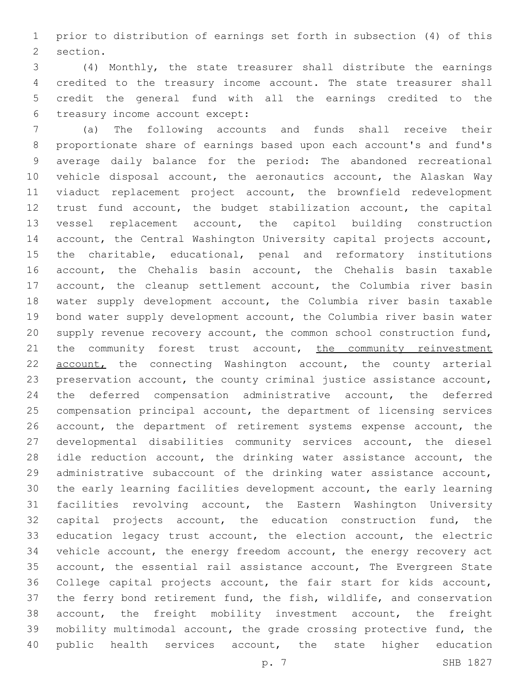prior to distribution of earnings set forth in subsection (4) of this 2 section.

 (4) Monthly, the state treasurer shall distribute the earnings credited to the treasury income account. The state treasurer shall credit the general fund with all the earnings credited to the 6 treasury income account except:

 (a) The following accounts and funds shall receive their proportionate share of earnings based upon each account's and fund's average daily balance for the period: The abandoned recreational vehicle disposal account, the aeronautics account, the Alaskan Way viaduct replacement project account, the brownfield redevelopment trust fund account, the budget stabilization account, the capital vessel replacement account, the capitol building construction account, the Central Washington University capital projects account, the charitable, educational, penal and reformatory institutions account, the Chehalis basin account, the Chehalis basin taxable 17 account, the cleanup settlement account, the Columbia river basin water supply development account, the Columbia river basin taxable bond water supply development account, the Columbia river basin water supply revenue recovery account, the common school construction fund, 21 the community forest trust account, the community reinvestment account, the connecting Washington account, the county arterial preservation account, the county criminal justice assistance account, the deferred compensation administrative account, the deferred compensation principal account, the department of licensing services account, the department of retirement systems expense account, the developmental disabilities community services account, the diesel idle reduction account, the drinking water assistance account, the administrative subaccount of the drinking water assistance account, the early learning facilities development account, the early learning facilities revolving account, the Eastern Washington University capital projects account, the education construction fund, the education legacy trust account, the election account, the electric vehicle account, the energy freedom account, the energy recovery act account, the essential rail assistance account, The Evergreen State College capital projects account, the fair start for kids account, the ferry bond retirement fund, the fish, wildlife, and conservation account, the freight mobility investment account, the freight mobility multimodal account, the grade crossing protective fund, the 40 public health services account, the state higher education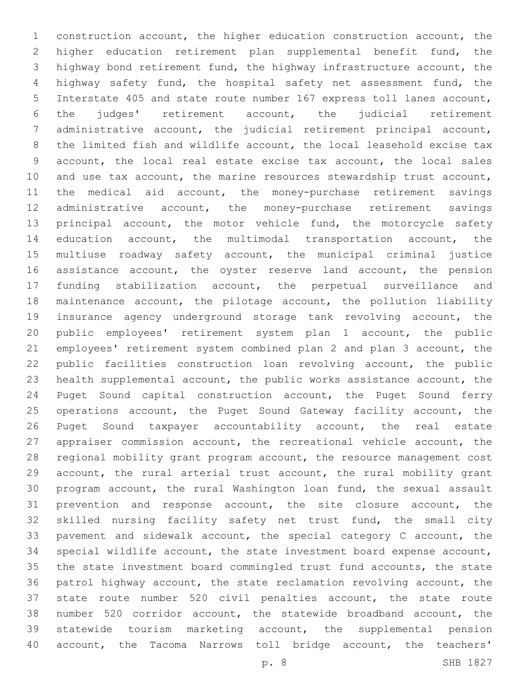construction account, the higher education construction account, the higher education retirement plan supplemental benefit fund, the highway bond retirement fund, the highway infrastructure account, the highway safety fund, the hospital safety net assessment fund, the Interstate 405 and state route number 167 express toll lanes account, the judges' retirement account, the judicial retirement administrative account, the judicial retirement principal account, the limited fish and wildlife account, the local leasehold excise tax account, the local real estate excise tax account, the local sales and use tax account, the marine resources stewardship trust account, the medical aid account, the money-purchase retirement savings administrative account, the money-purchase retirement savings 13 principal account, the motor vehicle fund, the motorcycle safety education account, the multimodal transportation account, the multiuse roadway safety account, the municipal criminal justice 16 assistance account, the oyster reserve land account, the pension funding stabilization account, the perpetual surveillance and maintenance account, the pilotage account, the pollution liability insurance agency underground storage tank revolving account, the public employees' retirement system plan 1 account, the public employees' retirement system combined plan 2 and plan 3 account, the public facilities construction loan revolving account, the public health supplemental account, the public works assistance account, the Puget Sound capital construction account, the Puget Sound ferry 25 operations account, the Puget Sound Gateway facility account, the Puget Sound taxpayer accountability account, the real estate appraiser commission account, the recreational vehicle account, the regional mobility grant program account, the resource management cost account, the rural arterial trust account, the rural mobility grant program account, the rural Washington loan fund, the sexual assault prevention and response account, the site closure account, the skilled nursing facility safety net trust fund, the small city pavement and sidewalk account, the special category C account, the special wildlife account, the state investment board expense account, the state investment board commingled trust fund accounts, the state patrol highway account, the state reclamation revolving account, the state route number 520 civil penalties account, the state route number 520 corridor account, the statewide broadband account, the statewide tourism marketing account, the supplemental pension account, the Tacoma Narrows toll bridge account, the teachers'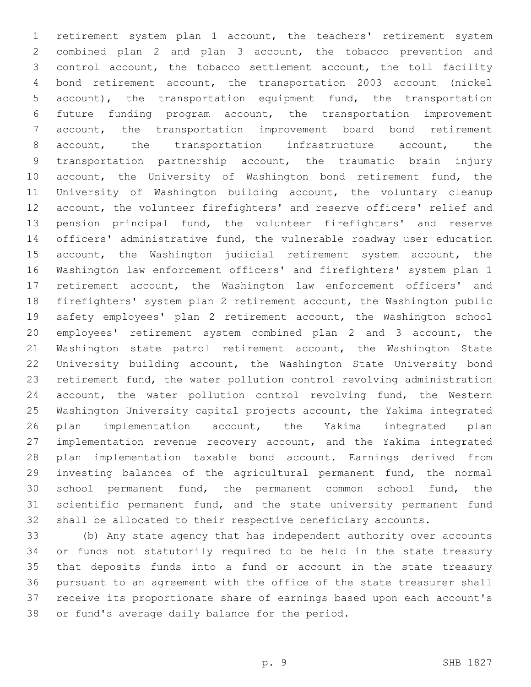retirement system plan 1 account, the teachers' retirement system combined plan 2 and plan 3 account, the tobacco prevention and control account, the tobacco settlement account, the toll facility bond retirement account, the transportation 2003 account (nickel account), the transportation equipment fund, the transportation future funding program account, the transportation improvement account, the transportation improvement board bond retirement account, the transportation infrastructure account, the transportation partnership account, the traumatic brain injury 10 account, the University of Washington bond retirement fund, the University of Washington building account, the voluntary cleanup account, the volunteer firefighters' and reserve officers' relief and pension principal fund, the volunteer firefighters' and reserve officers' administrative fund, the vulnerable roadway user education 15 account, the Washington judicial retirement system account, the Washington law enforcement officers' and firefighters' system plan 1 retirement account, the Washington law enforcement officers' and firefighters' system plan 2 retirement account, the Washington public safety employees' plan 2 retirement account, the Washington school employees' retirement system combined plan 2 and 3 account, the 21 Washington state patrol retirement account, the Washington State University building account, the Washington State University bond retirement fund, the water pollution control revolving administration 24 account, the water pollution control revolving fund, the Western Washington University capital projects account, the Yakima integrated plan implementation account, the Yakima integrated plan implementation revenue recovery account, and the Yakima integrated plan implementation taxable bond account. Earnings derived from investing balances of the agricultural permanent fund, the normal school permanent fund, the permanent common school fund, the scientific permanent fund, and the state university permanent fund shall be allocated to their respective beneficiary accounts.

 (b) Any state agency that has independent authority over accounts or funds not statutorily required to be held in the state treasury that deposits funds into a fund or account in the state treasury pursuant to an agreement with the office of the state treasurer shall receive its proportionate share of earnings based upon each account's 38 or fund's average daily balance for the period.